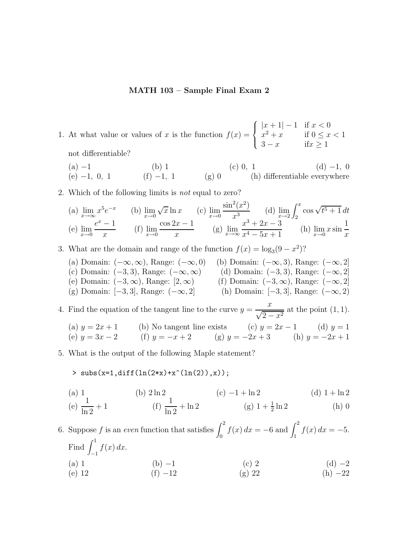## **MATH 103 – Sample Final Exam 2**

1. At what value or values of x is the function  $f(x) =$  $\sqrt{ }$  $\int$  $\overline{\mathcal{L}}$  $|x+1| - 1$  if  $x < 0$  $x^2 + x$  if  $0 \le x < 1$  $3 - x$  if  $x \ge 1$ not differentiable?

| (a) $-1$        | (b) 1        | (c) 0, 1 | (d) $-1$ , 0                  |
|-----------------|--------------|----------|-------------------------------|
| (e) $-1$ , 0, 1 | (f) $-1$ , 1 | (g) 0    | (h) differentiable everywhere |

2. Which of the following limits is *not* equal to zero?

(a) 
$$
\lim_{x \to \infty} x^5 e^{-x}
$$
 (b)  $\lim_{x \to 0} \sqrt{x} \ln x$  (c)  $\lim_{x \to 0} \frac{\sin^2(x^2)}{x^3}$  (d)  $\lim_{x \to 2} \int_2^x \cos \sqrt{t^5 + 1} dt$   
\n(e)  $\lim_{x \to 0} \frac{e^x - 1}{x}$  (f)  $\lim_{x \to 0} \frac{\cos 2x - 1}{x}$  (g)  $\lim_{x \to \infty} \frac{x^3 + 2x - 3}{x^4 - 5x + 1}$  (h)  $\lim_{x \to 0} x \sin \frac{1}{x}$ 

3. What are the domain and range of the function  $f(x) = \log_3(9 - x^2)$ ?

- (a) Domain:  $(-\infty, \infty)$ , Range:  $(-\infty, 0)$  (b) Domain:  $(-\infty, 3)$ , Range:  $(-\infty, 2]$ <br>(c) Domain:  $(-3, 3)$ , Range:  $(-\infty, \infty)$  (d) Domain:  $(-3, 3)$ , Range:  $(-\infty, 2]$ (c) Domain:  $(-3, 3)$ , Range:  $(-\infty, \infty)$  (d) Domain:  $(-3, 3)$ , Range:  $(-\infty, 2]$ <br>(e) Domain:  $(-3, \infty)$ , Range:  $[2, \infty)$  (f) Domain:  $(-3, \infty)$ , Range:  $(-\infty, 2]$ (e) Domain:  $(-3, \infty)$ , Range:  $[2, \infty)$  (f) Domain:  $(-3, \infty)$ , Range:  $(-\infty, 2]$ <br>(g) Domain:  $[-3, 3]$ , Range:  $(-\infty, 2]$  (h) Domain:  $[-3, 3]$ , Range:  $(-\infty, 2)$
- (h) Domain:  $[-3, 3]$ , Range:  $(-\infty, 2)$

4. Find the equation of the tangent line to the curve  $y = \frac{x}{\sqrt{2}}$  $\frac{x}{\sqrt{2-x^2}}$  at the point  $(1, 1)$ .

(a) 
$$
y = 2x + 1
$$
   
\n(b) No tangent line exists   
\n(c)  $y = 2x - 1$    
\n(d)  $y = 1$   
\n(e)  $y = 3x - 2$    
\n(f)  $y = -x + 2$    
\n(g)  $y = -2x + 3$    
\n(h)  $y = -2x + 1$ 

5. What is the output of the following Maple statement?

>  $\text{subs}(x=1,\text{diff}(\ln(2*x)+x^{(n(2)),x));$ 

(a) 1  
\n(e) 
$$
\frac{1}{\ln 2} + 1
$$
  
\n(b)  $2 \ln 2$   
\n(f)  $\frac{1}{\ln 2} + \ln 2$   
\n(g)  $1 + \frac{1}{2} \ln 2$   
\n(h) 0  
\n(i) 0

6. Suppose f is an *even* function that satisfies  $\int_0^2 f(x) dx = -6$  and  $\int_1^2 f(x) dx = -5$ . Find  $\int_1^1$ −1  $f(x) dx$ . (a) 1 (b) −1 (c) 2 (d) −2 (e) 12 (f)  $-12$  (g) 22 (h)  $-22$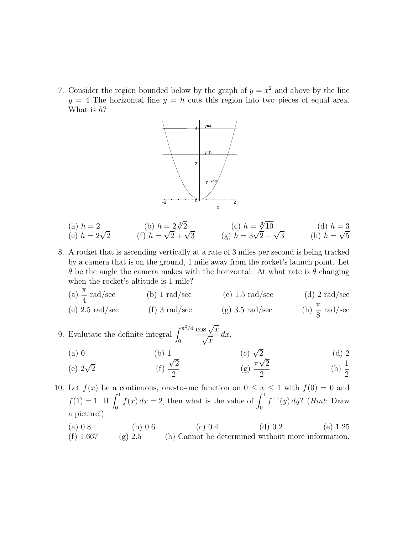7. Consider the region bounded below by the graph of  $y = x^2$  and above by the line  $y = 4$  The horizontal line  $y = h$  cuts this region into two pieces of equal area. What is  $h$ ?



(a) 
$$
h = 2
$$
  
\n(b)  $h = 2\sqrt{2}$   
\n(c)  $h = \sqrt[3]{10}$   
\n(d)  $h = 3$   
\n(e)  $h = 2\sqrt{2}$   
\n(f)  $h = \sqrt{2} + \sqrt{3}$   
\n(g)  $h = 3\sqrt{2} - \sqrt{3}$   
\n(h)  $h = \sqrt{5}$ 

- 8. A rocket that is ascending vertically at a rate of 3 miles per second is being tracked by a camera that is on the ground, 1 mile away from the rocket's launch point. Let θ be the angle the camera makes with the horizontal. At what rate is θ changing when the rocket's altitude is 1 mile?
	- (a)  $\frac{\pi}{4}$  rad/sec  $\frac{\pi}{4}$  rad/sec (b) 1 rad/sec (c) 1.5 rad/sec (d) 2 rad/sec (e) 2.5 rad/sec (f) 3 rad/sec (g) 3.5 rad/sec (h)  $\frac{\pi}{6}$  $\frac{\pi}{8}$  rad/sec
- 9. Evalutate the definite integral  $\int_0^{\pi^2/4}$  $\cos \sqrt{x}$  $\frac{\partial s \sqrt{x}}{\sqrt{x}} dx$ .
	- (a) 0 (b) 1 (c)  $\sqrt{2}$  (d) 2

(e) 
$$
2\sqrt{2}
$$
 \t\t (f)  $\frac{\sqrt{2}}{2}$  \t\t (g)  $\frac{\pi\sqrt{2}}{2}$  \t\t (h)  $\frac{1}{2}$ 

10. Let  $f(x)$  be a continuous, one-to-one function on  $0 \leq x \leq 1$  with  $f(0) = 0$  and  $f(1) = 1$ . If  $\int_0^1 f(x) dx = 2$ , then what is the value of  $\int_0^1 f(x) dx = 2$  $f^{-1}(y) dy$ ? (*Hint*: Draw a picture!)

(a)  $0.8$  (b)  $0.6$  (c)  $0.4$  (d)  $0.2$  (e)  $1.25$ (f) 1.667 (g) 2.5 (h) Cannot be determined without more information.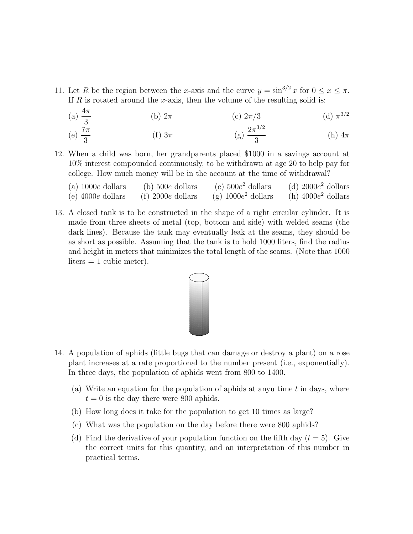- 11. Let R be the region between the x-axis and the curve  $y = \sin^{3/2} x$  for  $0 \le x \le \pi$ . If  $R$  is rotated around the x-axis, then the volume of the resulting solid is:
	- (a)  $\frac{4\pi}{3}$  $\frac{4\pi}{3}$  (b)  $2\pi$  (c)  $2\pi/3$  (d)  $\pi^{3/2}$ (e)  $\frac{7\pi}{3}$  $\frac{7\pi}{3}$  (f)  $3\pi$  (g)  $\frac{2\pi^{3/2}}{3}$  (h)  $4\pi$
- 12. When a child was born, her grandparents placed \$1000 in a savings account at 10% interest compounded continuously, to be withdrawn at age 20 to help pay for college. How much money will be in the account at the time of withdrawal?

| (a) $1000e$ dollars    | $(b)$ 500 $e$ dollars | (c) $500e^2$ dollars  | (d) $2000e^2$ dollars |
|------------------------|-----------------------|-----------------------|-----------------------|
| $(e)$ 4000 $e$ dollars | $(f)$ 2000e dollars   | (g) $1000e^2$ dollars | (h) $4000e^2$ dollars |

13. A closed tank is to be constructed in the shape of a right circular cylinder. It is made from three sheets of metal (top, bottom and side) with welded seams (the dark lines). Because the tank may eventually leak at the seams, they should be as short as possible. Assuming that the tank is to hold 1000 liters, find the radius and height in meters that minimizes the total length of the seams. (Note that 1000  $liters = 1$  cubic meter).



- 14. A population of aphids (little bugs that can damage or destroy a plant) on a rose plant increases at a rate proportional to the number present (i.e., exponentially). In three days, the population of aphids went from 800 to 1400.
	- (a) Write an equation for the population of aphids at any u time  $t$  in days, where  $t = 0$  is the day there were 800 aphids.
	- (b) How long does it take for the population to get 10 times as large?
	- (c) What was the population on the day before there were 800 aphids?
	- (d) Find the derivative of your population function on the fifth day  $(t = 5)$ . Give the correct units for this quantity, and an interpretation of this number in practical terms.